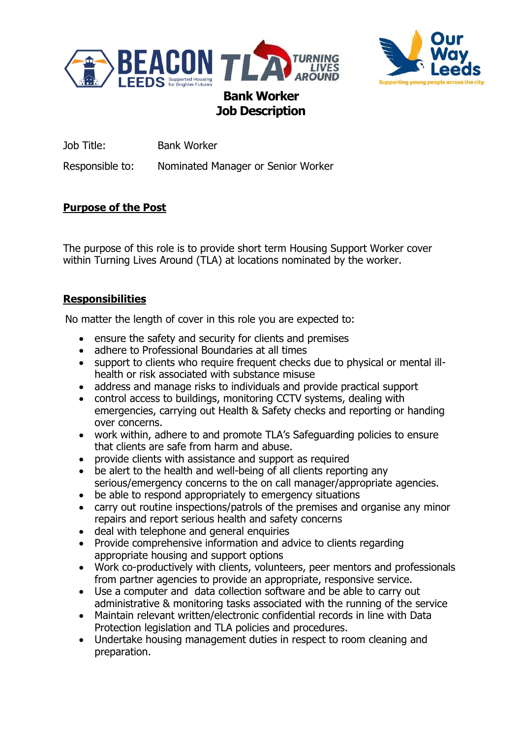



Job Title: Bank Worker

Responsible to: Nominated Manager or Senior Worker

# **Purpose of the Post**

The purpose of this role is to provide short term Housing Support Worker cover within Turning Lives Around (TLA) at locations nominated by the worker.

## **Responsibilities**

No matter the length of cover in this role you are expected to:

- ensure the safety and security for clients and premises
- adhere to Professional Boundaries at all times
- support to clients who require frequent checks due to physical or mental illhealth or risk associated with substance misuse
- address and manage risks to individuals and provide practical support
- control access to buildings, monitoring CCTV systems, dealing with emergencies, carrying out Health & Safety checks and reporting or handing over concerns.
- work within, adhere to and promote TLA's Safeguarding policies to ensure that clients are safe from harm and abuse.
- provide clients with assistance and support as required
- be alert to the health and well-being of all clients reporting any serious/emergency concerns to the on call manager/appropriate agencies.
- be able to respond appropriately to emergency situations
- carry out routine inspections/patrols of the premises and organise any minor repairs and report serious health and safety concerns
- deal with telephone and general enquiries
- Provide comprehensive information and advice to clients regarding appropriate housing and support options
- Work co-productively with clients, volunteers, peer mentors and professionals from partner agencies to provide an appropriate, responsive service.
- Use a computer and data collection software and be able to carry out administrative & monitoring tasks associated with the running of the service
- Maintain relevant written/electronic confidential records in line with Data Protection legislation and TLA policies and procedures.
- Undertake housing management duties in respect to room cleaning and preparation.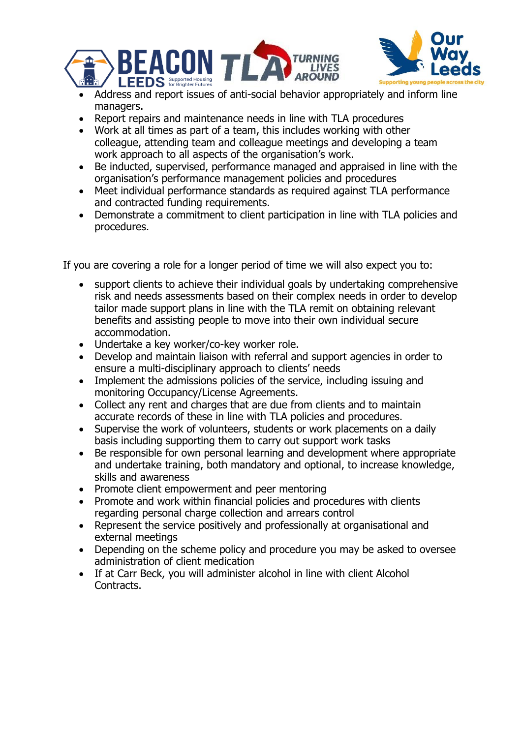



- Address and report issues of anti-social behavior appropriately and inform line managers.
- Report repairs and maintenance needs in line with TLA procedures
- Work at all times as part of a team, this includes working with other colleague, attending team and colleague meetings and developing a team work approach to all aspects of the organisation's work.
- Be inducted, supervised, performance managed and appraised in line with the organisation's performance management policies and procedures
- Meet individual performance standards as required against TLA performance and contracted funding requirements.
- Demonstrate a commitment to client participation in line with TLA policies and procedures.

If you are covering a role for a longer period of time we will also expect you to:

- support clients to achieve their individual goals by undertaking comprehensive risk and needs assessments based on their complex needs in order to develop tailor made support plans in line with the TLA remit on obtaining relevant benefits and assisting people to move into their own individual secure accommodation.
- Undertake a key worker/co-key worker role.
- Develop and maintain liaison with referral and support agencies in order to ensure a multi-disciplinary approach to clients' needs
- Implement the admissions policies of the service, including issuing and monitoring Occupancy/License Agreements.
- Collect any rent and charges that are due from clients and to maintain accurate records of these in line with TLA policies and procedures.
- Supervise the work of volunteers, students or work placements on a daily basis including supporting them to carry out support work tasks
- Be responsible for own personal learning and development where appropriate and undertake training, both mandatory and optional, to increase knowledge, skills and awareness
- Promote client empowerment and peer mentoring
- Promote and work within financial policies and procedures with clients regarding personal charge collection and arrears control
- Represent the service positively and professionally at organisational and external meetings
- Depending on the scheme policy and procedure you may be asked to oversee administration of client medication
- If at Carr Beck, you will administer alcohol in line with client Alcohol Contracts.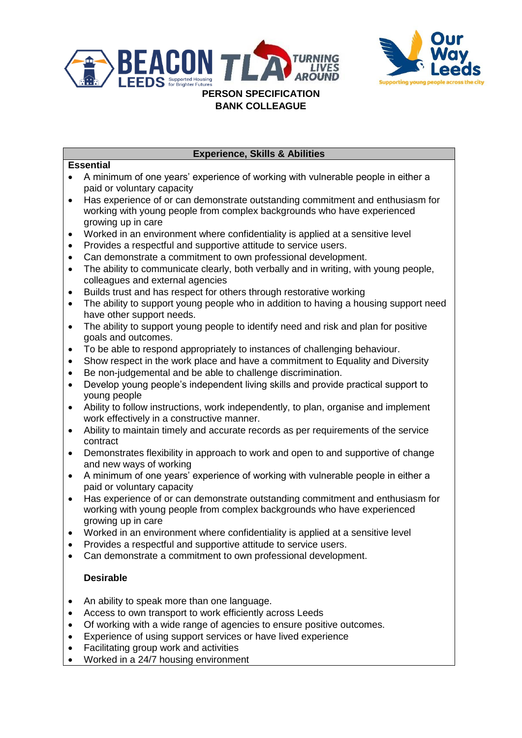



## **Experience, Skills & Abilities**

#### **Essential**

- A minimum of one years' experience of working with vulnerable people in either a paid or voluntary capacity
- Has experience of or can demonstrate outstanding commitment and enthusiasm for working with young people from complex backgrounds who have experienced growing up in care
- Worked in an environment where confidentiality is applied at a sensitive level
- Provides a respectful and supportive attitude to service users.
- Can demonstrate a commitment to own professional development.
- The ability to communicate clearly, both verbally and in writing, with young people, colleagues and external agencies
- Builds trust and has respect for others through restorative working
- The ability to support young people who in addition to having a housing support need have other support needs.
- The ability to support young people to identify need and risk and plan for positive goals and outcomes.
- To be able to respond appropriately to instances of challenging behaviour.
- Show respect in the work place and have a commitment to Equality and Diversity
- Be non-judgemental and be able to challenge discrimination.
- Develop young people's independent living skills and provide practical support to young people
- Ability to follow instructions, work independently, to plan, organise and implement work effectively in a constructive manner.
- Ability to maintain timely and accurate records as per requirements of the service contract
- Demonstrates flexibility in approach to work and open to and supportive of change and new ways of working
- A minimum of one years' experience of working with vulnerable people in either a paid or voluntary capacity
- Has experience of or can demonstrate outstanding commitment and enthusiasm for working with young people from complex backgrounds who have experienced growing up in care
- Worked in an environment where confidentiality is applied at a sensitive level
- Provides a respectful and supportive attitude to service users.
- Can demonstrate a commitment to own professional development.

## **Desirable**

- An ability to speak more than one language.
- Access to own transport to work efficiently across Leeds
- Of working with a wide range of agencies to ensure positive outcomes.
- Experience of using support services or have lived experience
- Facilitating group work and activities
- Worked in a 24/7 housing environment